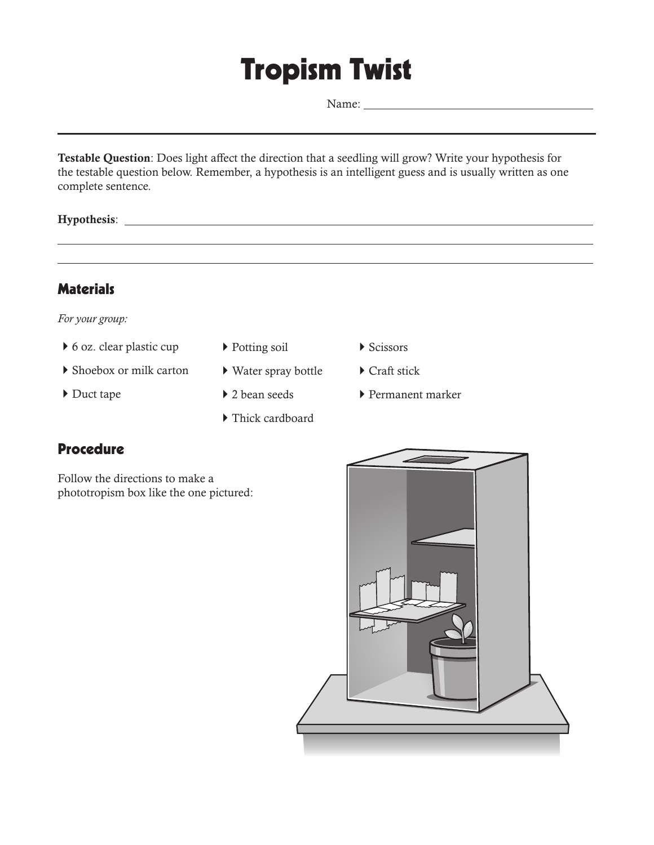## Tropism Twist

Name:

**Testable Question**: Does light affect the direction that a seedling will grow? Write your hypothesis for the testable question below. Remember, a hypothesis is an intelligent guess and is usually written as one complete sentence.

**Hypothesis**:

 $\overline{\phantom{0}}$ 



*For your group:*

- $\triangleright$  6 oz. clear plastic cup
- ` Shoebox or milk carton
- ▶ Duct tape
- ▶ Potting soil
- ` Water spray bottle
- ▶ 2 bean seeds
- $\blacktriangleright$  Thick cardboard
- $\blacktriangleright$  Scissors
- ▶ Craft stick
- ` Permanent marker

l,



Follow the directions to make a phototropism box like the one pictured:

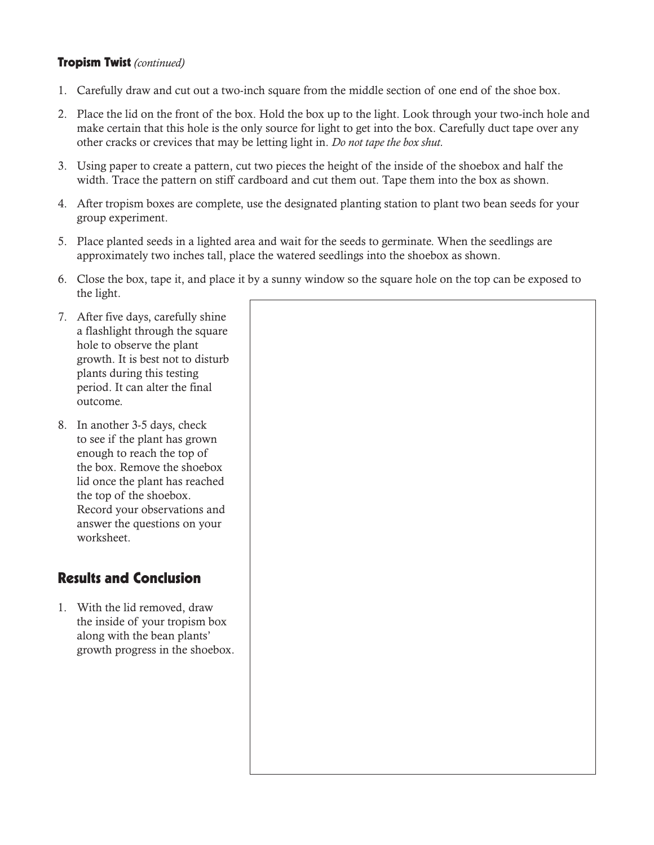## Tropism Twist *(continued)*

- 1. Carefully draw and cut out a two-inch square from the middle section of one end of the shoe box.
- 2. Place the lid on the front of the box. Hold the box up to the light. Look through your two-inch hole and make certain that this hole is the only source for light to get into the box. Carefully duct tape over any other cracks or crevices that may be letting light in. *Do not tape the box shut.*
- 3. Using paper to create a pattern, cut two pieces the height of the inside of the shoebox and half the width. Trace the pattern on stiff cardboard and cut them out. Tape them into the box as shown.
- 4. After tropism boxes are complete, use the designated planting station to plant two bean seeds for your group experiment.
- 5. Place planted seeds in a lighted area and wait for the seeds to germinate. When the seedlings are approximately two inches tall, place the watered seedlings into the shoebox as shown.
- 6. Close the box, tape it, and place it by a sunny window so the square hole on the top can be exposed to the light.
- 7. After five days, carefully shine a flashlight through the square hole to observe the plant growth. It is best not to disturb plants during this testing period. It can alter the final outcome.
- 8. In another 3-5 days, check to see if the plant has grown enough to reach the top of the box. Remove the shoebox lid once the plant has reached the top of the shoebox. Record your observations and answer the questions on your worksheet.

## Results and Conclusion

1. With the lid removed, draw the inside of your tropism box along with the bean plants' growth progress in the shoebox.